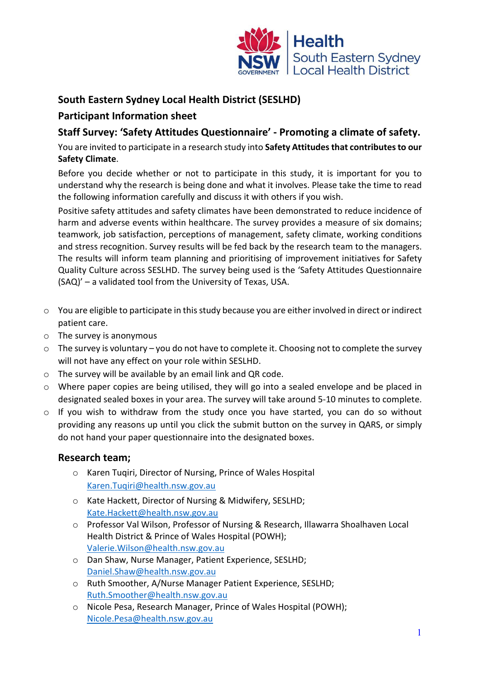

# **South Eastern Sydney Local Health District (SESLHD)**

## **Participant Information sheet**

## **Staff Survey: 'Safety Attitudes Questionnaire' - Promoting a climate of safety.**

You are invited to participate in a research study into **Safety Attitudes that contributes to our Safety Climate**.

Before you decide whether or not to participate in this study, it is important for you to understand why the research is being done and what it involves. Please take the time to read the following information carefully and discuss it with others if you wish.

Positive safety attitudes and safety climates have been demonstrated to reduce incidence of harm and adverse events within healthcare. The survey provides a measure of six domains; teamwork, job satisfaction, perceptions of management, safety climate, working conditions and stress recognition. Survey results will be fed back by the research team to the managers. The results will inform team planning and prioritising of improvement initiatives for Safety Quality Culture across SESLHD. The survey being used is the 'Safety Attitudes Questionnaire (SAQ)' – a validated tool from the University of Texas, USA.

- $\circ$  You are eligible to participate in this study because you are either involved in direct or indirect patient care.
- o The survey is anonymous
- o The survey is voluntary you do not have to complete it. Choosing not to complete the survey will not have any effect on your role within SESLHD.
- o The survey will be available by an email link and QR code.
- o Where paper copies are being utilised, they will go into a sealed envelope and be placed in designated sealed boxes in your area. The survey will take around 5-10 minutes to complete.
- o If you wish to withdraw from the study once you have started, you can do so without providing any reasons up until you click the submit button on the survey in QARS, or simply do not hand your paper questionnaire into the designated boxes.

#### **Research team;**

- o Karen Tuqiri, Director of Nursing, Prince of Wales Hospital [Karen.Tuqiri@health.nsw.gov.au](mailto:Karen.Tuqiri@health.nsw.gov.au)
- o Kate Hackett, Director of Nursing & Midwifery, SESLHD; [Kate.Hackett@health.nsw.gov.au](mailto:Kate.Hackett@health.nsw.gov.au)
- o Professor Val Wilson, Professor of Nursing & Research, Illawarra Shoalhaven Local Health District & Prince of Wales Hospital (POWH); [Valerie.Wilson@health.nsw.gov.au](mailto:Valerie.Wilson@health.nsw.gov.au)
- o Dan Shaw, Nurse Manager, Patient Experience, SESLHD; [Daniel.Shaw@health.nsw.gov.au](mailto:Daniel.Shaw@health.nsw.gov.au)
- o Ruth Smoother, A/Nurse Manager Patient Experience, SESLHD; [Ruth.Smoother@health.nsw.gov.au](mailto:Ruth.Smoother@health.nsw.gov.au)
- o Nicole Pesa, Research Manager, Prince of Wales Hospital (POWH); [Nicole.Pesa@health.nsw.gov.au](mailto:Nicole.Pesa@health.nsw.gov.au)